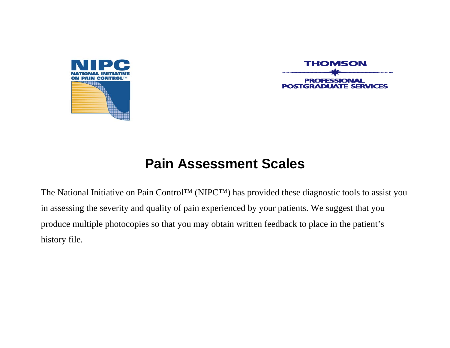

**THOMSON POSTGRADUATE SERVICES** 

# **Pain Assessment Scales**

The National Initiative on Pain Control™ (NIPC™) has provided these diagnostic tools to assist you in assessing the severity and quality of pain experienced by your patients. We suggest that you produce multiple photocopies so that you may obtain written feedback to place in the patient's history file.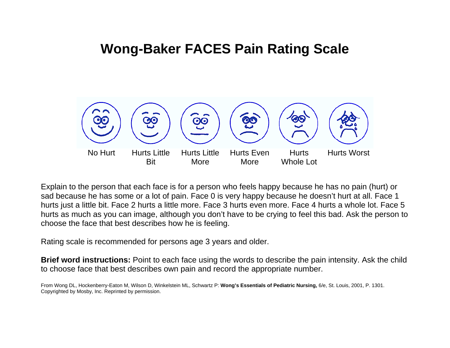## **Wong-Baker FACES Pain Rating Scale**



Explain to the person that each face is for a person who feels happy because he has no pain (hurt) or sad because he has some or a lot of pain. Face 0 is very happy because he doesn't hurt at all. Face 1 hurts just a little bit. Face 2 hurts a little more. Face 3 hurts even more. Face 4 hurts a whole lot. Face 5 hurts as much as you can i mage, although you don't have to be crying to feel this bad. Ask the person to choose the face that best describes how he is feeling.

Rating scale is recommended for persons age 3 years and older.

**Brief word instructions:** Point to each face using the words to describe the pain i ntensity. Ask the child to choose face that best describes own pain and record the appropriate number.

From Wong DL, Hockenberry-Eaton M, Wilson D, Winkelstein ML, Schwartz P: **Wong's Essentials of Pediatric Nursing,** 6/e, St. Louis, 2001, P. 1301. Copyrighted by Mosby, Inc. Reprinted by permission.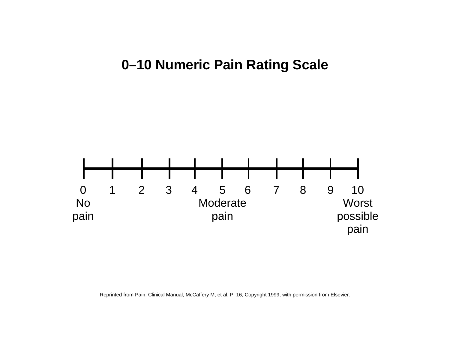## **0–10 Numeric Pain Rating Scale**



Reprinted from Pain: Clinical Manual, McCaffery M, et al, P. 16, Copyright 1999, with permission from Elsevier.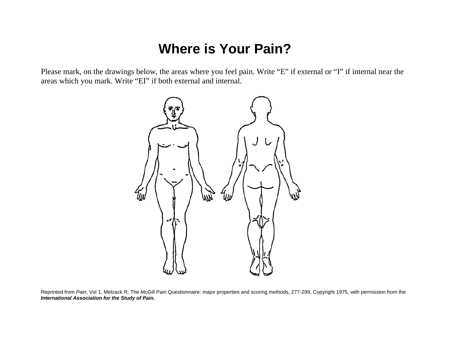## **Where is Your Pain?**

Please mark, on the drawings below, the areas where you feel pain. Write "E" if external or "I" if internal near the areas which you mark. Write "EI" if both external and internal.



Reprinted from *Pain*, Vol 1, Melzack R, The McGill Pain Questionnaire: major properties and scoring methods, 277-299, Copyright 1975, with permission from the *International Association for the Study of Pain.*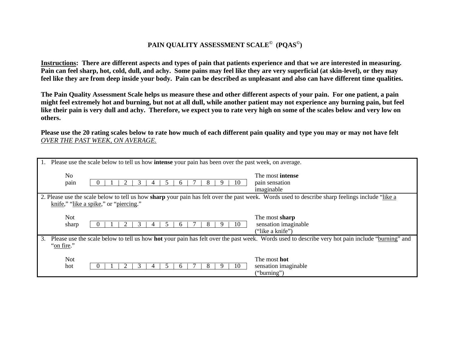#### **PAIN QUALITY ASSESSMENT SCALE© (PQAS©)**

**Instructions: There are different aspects and types of pain that patients experience and that we are interested in measuring. Pain can feel sharp, hot, cold, dull, and achy. Some pains may feel like they are very superficial (at skin-level), or they may feel like they are from deep inside your body. Pain can be described as unpleasant and also can have different time qualities.**

**The Pain Quality Assessment Scale helps us measure these and other different aspects of your pain. For one patient, a pain might feel extremely hot and burning, but not at all dull, while another patient may not experience any burning pain, but feel like their pain is very dull and achy. Therefore, we expect you to rate very high on some of the scales below and very low on others.** 

**Please use the 20 rating scales below to rate how much of each different pain quality and type you may or may not have felt**  *OVER THE PAST WEEK, ON AVERAGE.*

| Please use the scale below to tell us how <b>intense</b> your pain has been over the past week, on average.                                                                |                                                                                                                                                 |  |  |  |  |
|----------------------------------------------------------------------------------------------------------------------------------------------------------------------------|-------------------------------------------------------------------------------------------------------------------------------------------------|--|--|--|--|
| N <sub>0</sub><br>pain<br>10<br>C.<br>n                                                                                                                                    | The most <b>intense</b><br>pain sensation<br>imaginable                                                                                         |  |  |  |  |
|                                                                                                                                                                            |                                                                                                                                                 |  |  |  |  |
|                                                                                                                                                                            | 2. Please use the scale below to tell us how sharp your pain has felt over the past week. Words used to describe sharp feelings include "like a |  |  |  |  |
| knife," "like a spike," or "piercing."                                                                                                                                     |                                                                                                                                                 |  |  |  |  |
|                                                                                                                                                                            |                                                                                                                                                 |  |  |  |  |
|                                                                                                                                                                            |                                                                                                                                                 |  |  |  |  |
| <b>Not</b>                                                                                                                                                                 | The most sharp                                                                                                                                  |  |  |  |  |
| sharp<br>J.<br>w<br>n                                                                                                                                                      | sensation imaginable                                                                                                                            |  |  |  |  |
|                                                                                                                                                                            |                                                                                                                                                 |  |  |  |  |
|                                                                                                                                                                            | ("like a knife")                                                                                                                                |  |  |  |  |
| Please use the scale below to tell us how <b>hot</b> your pain has felt over the past week. Words used to describe very hot pain include "burning" and<br>3.<br>"on fire." |                                                                                                                                                 |  |  |  |  |
|                                                                                                                                                                            |                                                                                                                                                 |  |  |  |  |
| <b>Not</b>                                                                                                                                                                 | The most <b>hot</b>                                                                                                                             |  |  |  |  |
| hot<br>$\blacktriangleleft$<br>n                                                                                                                                           | sensation imaginable                                                                                                                            |  |  |  |  |
|                                                                                                                                                                            | ("burning")                                                                                                                                     |  |  |  |  |
|                                                                                                                                                                            |                                                                                                                                                 |  |  |  |  |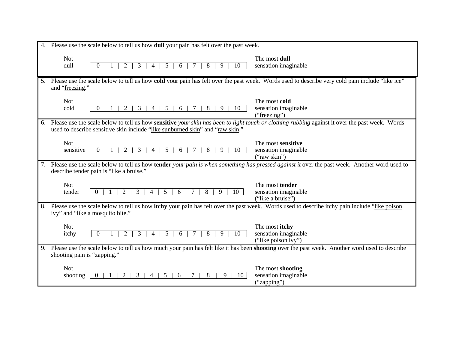| 4. Please use the scale below to tell us how <b>dull</b> your pain has felt over the past week.                                                                                                                                    |                                                               |  |
|------------------------------------------------------------------------------------------------------------------------------------------------------------------------------------------------------------------------------------|---------------------------------------------------------------|--|
| <b>Not</b><br>dull<br>3<br>8<br>0<br>5<br>9<br>10<br>4<br>6                                                                                                                                                                        | The most dull<br>sensation imaginable                         |  |
| 5. Please use the scale below to tell us how cold your pain has felt over the past week. Words used to describe very cold pain include "like ice"<br>and "freezing."                                                               |                                                               |  |
| <b>Not</b><br>3<br>9<br>10<br>cold<br>5<br>8<br>$\Omega$<br>$\mathcal{D}_{\cdot}$<br>4<br>6                                                                                                                                        | The most cold<br>sensation imaginable<br>("freezing")         |  |
| 6. Please use the scale below to tell us how sensitive your skin has been to light touch or clothing rubbing against it over the past week. Words<br>used to describe sensitive skin include "like sunburned skin" and "raw skin." |                                                               |  |
| <b>Not</b><br>sensitive<br>3<br>$\overline{\mathcal{L}}$<br>9<br>8<br>10<br>$\Omega$<br>4<br>6                                                                                                                                     | The most sensitive<br>sensation imaginable<br>("raw skin")    |  |
| 7. Please use the scale below to tell us how tender your pain is when something has pressed against it over the past week. Another word used to<br>describe tender pain is "like a bruise."                                        |                                                               |  |
| <b>Not</b><br>8<br>tender<br>$\theta$<br>2<br>3<br>6<br>9<br>5<br>10                                                                                                                                                               | The most tender<br>sensation imaginable<br>("like a bruise")  |  |
| 8. Please use the scale below to tell us how itchy your pain has felt over the past week. Words used to describe itchy pain include "like poison"<br>ivy" and "like a mosquito bite."                                              |                                                               |  |
| <b>Not</b><br>3<br>5<br>8<br>9<br>10<br>itchy<br>$\Omega$<br>4<br>6                                                                                                                                                                | The most itchy<br>sensation imaginable<br>("like poison ivy") |  |
| 9. Please use the scale below to tell us how much your pain has felt like it has been shooting over the past week. Another word used to describe<br>shooting pain is "zapping."                                                    |                                                               |  |
| <b>Not</b><br>8<br>3<br>9<br>10<br>shooting<br>2<br>5<br>6<br>$\mathbf{0}$                                                                                                                                                         | The most shooting<br>sensation imaginable<br>("zapping")      |  |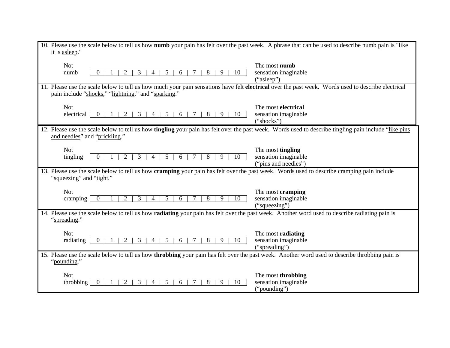| 10. Please use the scale below to tell us how numb your pain has felt over the past week. A phrase that can be used to describe numb pain is "like"                                                       |                           |  |
|-----------------------------------------------------------------------------------------------------------------------------------------------------------------------------------------------------------|---------------------------|--|
| it is asleep."                                                                                                                                                                                            |                           |  |
| <b>Not</b>                                                                                                                                                                                                | The most <b>numb</b>      |  |
| 5<br>10<br>numb<br>3<br>8<br>9<br>$\Omega$<br>6                                                                                                                                                           | sensation imaginable      |  |
|                                                                                                                                                                                                           | ("asleep")                |  |
| 11. Please use the scale below to tell us how much your pain sensations have felt electrical over the past week. Words used to describe electrical<br>pain include "shocks," "lightning," and "sparking." |                           |  |
| <b>Not</b>                                                                                                                                                                                                | The most electrical       |  |
| 3<br>electrical<br>$\mathcal{D}_{\mathcal{L}}$<br>9<br>10<br>$\Omega$<br>5<br>6<br>8                                                                                                                      | sensation imaginable      |  |
|                                                                                                                                                                                                           | ("shocks")                |  |
| 12. Please use the scale below to tell us how <b>tingling</b> your pain has felt over the past week. Words used to describe tingling pain include "like pins"<br>and needles" and "prickling."            |                           |  |
| <b>Not</b>                                                                                                                                                                                                | The most tingling         |  |
| 3<br>5<br>8<br>9<br>tingling<br>$\overline{c}$<br>6<br>10<br>$\Omega$<br>4                                                                                                                                | sensation imaginable      |  |
|                                                                                                                                                                                                           | ("pins and needles")      |  |
| 13. Please use the scale below to tell us how cramping your pain has felt over the past week. Words used to describe cramping pain include<br>"squeezing" and "tight."                                    |                           |  |
| <b>Not</b>                                                                                                                                                                                                | The most cramping         |  |
| 3<br>9<br>10<br>2<br>5<br>6<br>8<br>cramping<br>$\Omega$<br>4                                                                                                                                             | sensation imaginable      |  |
|                                                                                                                                                                                                           | ("squeezing")             |  |
| 14. Please use the scale below to tell us how radiating your pain has felt over the past week. Another word used to describe radiating pain is<br>"spreading."                                            |                           |  |
| <b>Not</b>                                                                                                                                                                                                | The most <b>radiating</b> |  |
| $\overline{2}$<br>3<br>5<br>10<br>radiating<br>6<br>8<br>9<br>$\theta$                                                                                                                                    | sensation imaginable      |  |
|                                                                                                                                                                                                           | ("spreading")             |  |
| 15. Please use the scale below to tell us how <b>throbbing</b> your pain has felt over the past week. Another word used to describe throbbing pain is<br>"pounding."                                      |                           |  |
| <b>Not</b>                                                                                                                                                                                                | The most throbbing        |  |
| 3<br>9<br>10<br>throbbing<br>っ<br>5<br>6<br>8                                                                                                                                                             | sensation imaginable      |  |
|                                                                                                                                                                                                           | ("pounding")              |  |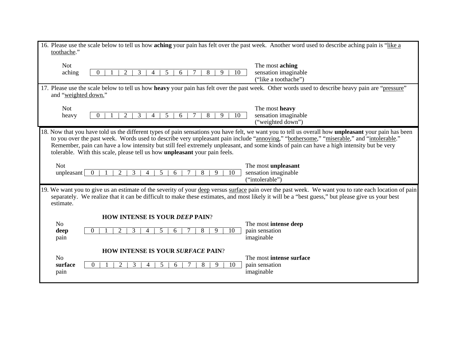| 16. Please use the scale below to tell us how aching your pain has felt over the past week. Another word used to describe aching pain is "like a<br>toothache."                                                                                                                                                                                                                                                                                                                                                                           |                                                                 |  |  |  |
|-------------------------------------------------------------------------------------------------------------------------------------------------------------------------------------------------------------------------------------------------------------------------------------------------------------------------------------------------------------------------------------------------------------------------------------------------------------------------------------------------------------------------------------------|-----------------------------------------------------------------|--|--|--|
| <b>Not</b><br>aching<br>8<br>3<br>5<br>6<br>9<br>10<br>4                                                                                                                                                                                                                                                                                                                                                                                                                                                                                  | The most aching<br>sensation imaginable<br>("like a toothache") |  |  |  |
| 17. Please use the scale below to tell us how heavy your pain has felt over the past week. Other words used to describe heavy pain are "pressure"<br>and "weighted down."                                                                                                                                                                                                                                                                                                                                                                 |                                                                 |  |  |  |
| <b>Not</b><br>heavy<br>3<br>5<br>8<br>9<br>6<br>10<br>0                                                                                                                                                                                                                                                                                                                                                                                                                                                                                   | The most heavy<br>sensation imaginable<br>("weighted down")     |  |  |  |
| 18. Now that you have told us the different types of pain sensations you have felt, we want you to tell us overall how <b>unpleasant</b> your pain has been<br>to you over the past week. Words used to describe very unpleasant pain include "annoying," "bothersome," "miserable," and "intolerable."<br>Remember, pain can have a low intensity but still feel extremely unpleasant, and some kinds of pain can have a high intensity but be very<br>tolerable. With this scale, please tell us how <b>unpleasant</b> your pain feels. |                                                                 |  |  |  |
| <b>Not</b><br>unpleasant<br>2<br>5<br>8<br>9<br>10<br>6                                                                                                                                                                                                                                                                                                                                                                                                                                                                                   | The most unpleasant<br>sensation imaginable<br>("intolerable")  |  |  |  |
| 19. We want you to give us an estimate of the severity of your deep versus surface pain over the past week. We want you to rate each location of pain<br>separately. We realize that it can be difficult to make these estimates, and most likely it will be a "best guess," but please give us your best<br>estimate.                                                                                                                                                                                                                    |                                                                 |  |  |  |
| <b>HOW INTENSE IS YOUR DEEP PAIN?</b><br>N <sub>o</sub><br>deep<br>$\mathcal{D}_{\cdot}$<br>8<br>9<br>10<br>3<br>5<br>6.<br>pain                                                                                                                                                                                                                                                                                                                                                                                                          | The most intense deep<br>pain sensation<br>imaginable           |  |  |  |
| <b>HOW INTENSE IS YOUR SURFACE PAIN?</b><br>N <sub>o</sub><br>surface<br>3<br>5<br>8<br>2<br>6<br>9<br>10<br>$\Omega$<br>4<br>pain                                                                                                                                                                                                                                                                                                                                                                                                        | The most intense surface<br>pain sensation<br>imaginable        |  |  |  |